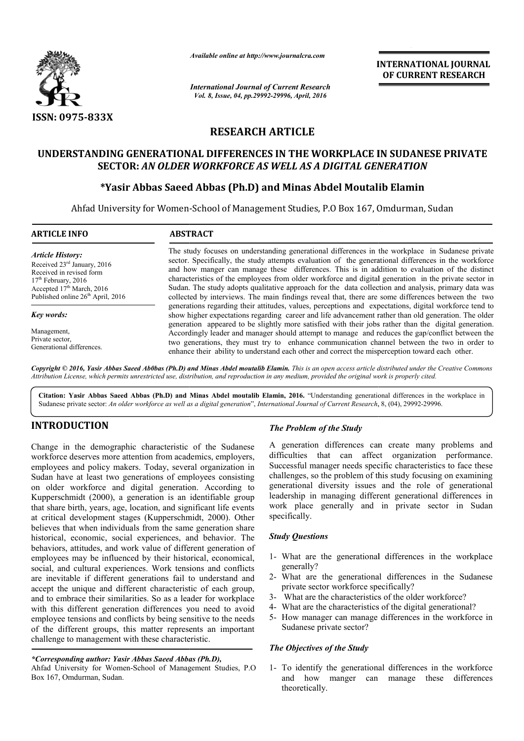

*Available online at http://www.journalcra.com*

# **RESEARCH ARTICLE**

# **UNDERSTANDING GENERATIONAL DIFFERENCES IN THE WORKPLACE IN SUDANESE PRIVATE GENERATIONAL DIFFERENCES SECTOR:** *AN OLDER WORKFORCE AS WELL AS A DIGITAL GENERATION*

# **\*Yasir Abbas Saeed Abbas (Ph.D) Yasir and Minas Abdel Moutalib Elamin**

|                                                                                                                                                                                                                                                                                                                                                                                                                                                                                                                                                                                                                                                                                                                                                                                                                                                                                                                                                                                                                                                                                                                                  |                                                                                                                                                                                                                                                                                                                                                                                                                                                                                                                                                                                                                                                                                                                                                                                                                                                                                                                                                                                                                                                                                                                                                                                                                                                                                                                                                                                                                               | <b>INTERNATIONAL JOURNAL</b><br>OF CURRENT RESEARCH                                                                                                                                                                                                                                                                                                                                                                                                                                                                                                                                                                                                                                                                                                                                              |  |
|----------------------------------------------------------------------------------------------------------------------------------------------------------------------------------------------------------------------------------------------------------------------------------------------------------------------------------------------------------------------------------------------------------------------------------------------------------------------------------------------------------------------------------------------------------------------------------------------------------------------------------------------------------------------------------------------------------------------------------------------------------------------------------------------------------------------------------------------------------------------------------------------------------------------------------------------------------------------------------------------------------------------------------------------------------------------------------------------------------------------------------|-------------------------------------------------------------------------------------------------------------------------------------------------------------------------------------------------------------------------------------------------------------------------------------------------------------------------------------------------------------------------------------------------------------------------------------------------------------------------------------------------------------------------------------------------------------------------------------------------------------------------------------------------------------------------------------------------------------------------------------------------------------------------------------------------------------------------------------------------------------------------------------------------------------------------------------------------------------------------------------------------------------------------------------------------------------------------------------------------------------------------------------------------------------------------------------------------------------------------------------------------------------------------------------------------------------------------------------------------------------------------------------------------------------------------------|--------------------------------------------------------------------------------------------------------------------------------------------------------------------------------------------------------------------------------------------------------------------------------------------------------------------------------------------------------------------------------------------------------------------------------------------------------------------------------------------------------------------------------------------------------------------------------------------------------------------------------------------------------------------------------------------------------------------------------------------------------------------------------------------------|--|
|                                                                                                                                                                                                                                                                                                                                                                                                                                                                                                                                                                                                                                                                                                                                                                                                                                                                                                                                                                                                                                                                                                                                  | <b>International Journal of Current Research</b><br>Vol. 8, Issue, 04, pp.29992-29996, April, 2016                                                                                                                                                                                                                                                                                                                                                                                                                                                                                                                                                                                                                                                                                                                                                                                                                                                                                                                                                                                                                                                                                                                                                                                                                                                                                                                            |                                                                                                                                                                                                                                                                                                                                                                                                                                                                                                                                                                                                                                                                                                                                                                                                  |  |
| ISSN: 0975-833X                                                                                                                                                                                                                                                                                                                                                                                                                                                                                                                                                                                                                                                                                                                                                                                                                                                                                                                                                                                                                                                                                                                  |                                                                                                                                                                                                                                                                                                                                                                                                                                                                                                                                                                                                                                                                                                                                                                                                                                                                                                                                                                                                                                                                                                                                                                                                                                                                                                                                                                                                                               |                                                                                                                                                                                                                                                                                                                                                                                                                                                                                                                                                                                                                                                                                                                                                                                                  |  |
|                                                                                                                                                                                                                                                                                                                                                                                                                                                                                                                                                                                                                                                                                                                                                                                                                                                                                                                                                                                                                                                                                                                                  |                                                                                                                                                                                                                                                                                                                                                                                                                                                                                                                                                                                                                                                                                                                                                                                                                                                                                                                                                                                                                                                                                                                                                                                                                                                                                                                                                                                                                               | <b>RESEARCH ARTICLE</b>                                                                                                                                                                                                                                                                                                                                                                                                                                                                                                                                                                                                                                                                                                                                                                          |  |
|                                                                                                                                                                                                                                                                                                                                                                                                                                                                                                                                                                                                                                                                                                                                                                                                                                                                                                                                                                                                                                                                                                                                  |                                                                                                                                                                                                                                                                                                                                                                                                                                                                                                                                                                                                                                                                                                                                                                                                                                                                                                                                                                                                                                                                                                                                                                                                                                                                                                                                                                                                                               | UNDERSTANDING GENERATIONAL DIFFERENCES IN THE WORKPLACE IN SUDANESE PRIVATE<br><b>SECTOR: AN OLDER WORKFORCE AS WELL AS A DIGITAL GENERATION</b>                                                                                                                                                                                                                                                                                                                                                                                                                                                                                                                                                                                                                                                 |  |
|                                                                                                                                                                                                                                                                                                                                                                                                                                                                                                                                                                                                                                                                                                                                                                                                                                                                                                                                                                                                                                                                                                                                  |                                                                                                                                                                                                                                                                                                                                                                                                                                                                                                                                                                                                                                                                                                                                                                                                                                                                                                                                                                                                                                                                                                                                                                                                                                                                                                                                                                                                                               | *Yasir Abbas Saeed Abbas (Ph.D) and Minas Abdel Moutalib Elamin                                                                                                                                                                                                                                                                                                                                                                                                                                                                                                                                                                                                                                                                                                                                  |  |
|                                                                                                                                                                                                                                                                                                                                                                                                                                                                                                                                                                                                                                                                                                                                                                                                                                                                                                                                                                                                                                                                                                                                  |                                                                                                                                                                                                                                                                                                                                                                                                                                                                                                                                                                                                                                                                                                                                                                                                                                                                                                                                                                                                                                                                                                                                                                                                                                                                                                                                                                                                                               | Ahfad University for Women-School of Management Studies, P.O Box 167, Omdurman, Sudan                                                                                                                                                                                                                                                                                                                                                                                                                                                                                                                                                                                                                                                                                                            |  |
| <b>ARTICLE INFO</b>                                                                                                                                                                                                                                                                                                                                                                                                                                                                                                                                                                                                                                                                                                                                                                                                                                                                                                                                                                                                                                                                                                              | <b>ABSTRACT</b>                                                                                                                                                                                                                                                                                                                                                                                                                                                                                                                                                                                                                                                                                                                                                                                                                                                                                                                                                                                                                                                                                                                                                                                                                                                                                                                                                                                                               |                                                                                                                                                                                                                                                                                                                                                                                                                                                                                                                                                                                                                                                                                                                                                                                                  |  |
| <b>Article History:</b><br>Received 23rd January, 2016<br>Received in revised form<br>17 <sup>th</sup> February, 2016<br>Accepted 17th March, 2016<br>Published online 26 <sup>th</sup> April, 2016                                                                                                                                                                                                                                                                                                                                                                                                                                                                                                                                                                                                                                                                                                                                                                                                                                                                                                                              | The study focuses on understanding generational differences in the workplace in Sudanese private<br>sector. Specifically, the study attempts evaluation of the generational differences in the workforce<br>and how manger can manage these differences. This is in addition to evaluation of the distinct<br>characteristics of the employees from older workforce and digital generation in the private sector in<br>Sudan. The study adopts qualitative approach for the data collection and analysis, primary data was<br>collected by interviews. The main findings reveal that, there are some differences between the two<br>generations regarding their attitudes, values, perceptions and expectations, digital workforce tend to<br>show higher expectations regarding career and life advancement rather than old generation. The older<br>generation appeared to be slightly more satisfied with their jobs rather than the digital generation.<br>Accordingly leader and manager should attempt to manage and reduces the gap/conflict between the<br>two generations, they must try to enhance communication channel between the two in order to<br>enhance their ability to understand each other and correct the misperception toward each other.<br>Copyright © 2016, Yasir Abbas Saeed Ab0bas (Ph.D) and Minas Abdel moutalib Elamin. This is an open access article distributed under the Creative Commons |                                                                                                                                                                                                                                                                                                                                                                                                                                                                                                                                                                                                                                                                                                                                                                                                  |  |
| <b>Key words:</b><br>Management,<br>Private sector,<br>Generational differences.                                                                                                                                                                                                                                                                                                                                                                                                                                                                                                                                                                                                                                                                                                                                                                                                                                                                                                                                                                                                                                                 |                                                                                                                                                                                                                                                                                                                                                                                                                                                                                                                                                                                                                                                                                                                                                                                                                                                                                                                                                                                                                                                                                                                                                                                                                                                                                                                                                                                                                               |                                                                                                                                                                                                                                                                                                                                                                                                                                                                                                                                                                                                                                                                                                                                                                                                  |  |
|                                                                                                                                                                                                                                                                                                                                                                                                                                                                                                                                                                                                                                                                                                                                                                                                                                                                                                                                                                                                                                                                                                                                  |                                                                                                                                                                                                                                                                                                                                                                                                                                                                                                                                                                                                                                                                                                                                                                                                                                                                                                                                                                                                                                                                                                                                                                                                                                                                                                                                                                                                                               | Attribution License, which permits unrestricted use, distribution, and reproduction in any medium, provided the original work is properly cited.<br>Citation: Yasir Abbas Saeed Abbas (Ph.D) and Minas Abdel moutalib Elamin, 2016. "Understanding generational differences in the workplace in<br>Sudanese private sector: An older workforce as well as a digital generation", International Journal of Current Research, 8, (04), 29992-29996.                                                                                                                                                                                                                                                                                                                                                |  |
| <b>INTRODUCTION</b>                                                                                                                                                                                                                                                                                                                                                                                                                                                                                                                                                                                                                                                                                                                                                                                                                                                                                                                                                                                                                                                                                                              |                                                                                                                                                                                                                                                                                                                                                                                                                                                                                                                                                                                                                                                                                                                                                                                                                                                                                                                                                                                                                                                                                                                                                                                                                                                                                                                                                                                                                               | The Problem of the Study                                                                                                                                                                                                                                                                                                                                                                                                                                                                                                                                                                                                                                                                                                                                                                         |  |
| Change in the demographic characteristic of the Sudanese<br>workforce deserves more attention from academics, employers,<br>employees and policy makers. Today, several organization in<br>Sudan have at least two generations of employees consisting<br>on older workforce and digital generation. According to<br>Kupperschmidt (2000), a generation is an identifiable group<br>that share birth, years, age, location, and significant life events<br>at critical development stages (Kupperschmidt, 2000). Other<br>believes that when individuals from the same generation share<br>historical, economic, social experiences, and behavior. The<br>behaviors, attitudes, and work value of different generation of<br>employees may be influenced by their historical, economical,<br>social, and cultural experiences. Work tensions and conflicts<br>are inevitable if different generations fail to understand and<br>accept the unique and different characteristic of each group,<br>and to embrace their similarities. So as a leader for workplace<br>with this different generation differences you need to avoid |                                                                                                                                                                                                                                                                                                                                                                                                                                                                                                                                                                                                                                                                                                                                                                                                                                                                                                                                                                                                                                                                                                                                                                                                                                                                                                                                                                                                                               | A generation differences can create many problems and<br>difficulties that can affect organization performance.<br>Successful manager needs specific characteristics to face these<br>challenges, so the problem of this study focusing on examining<br>generational diversity issues and the role of generational<br>leadership in managing different generational differences in<br>work place generally and in private sector in Sudan<br>specifically.<br><b>Study Questions</b><br>1- What are the generational differences in the workplace<br>generally?<br>2- What are the generational differences in the Sudanese<br>private sector workforce specifically?<br>3- What are the characteristics of the older workforce?<br>4- What are the characteristics of the digital generational? |  |
| employee tensions and conflicts by being sensitive to the needs<br>of the different groups, this matter represents an important<br>challenge to management with these characteristic.                                                                                                                                                                                                                                                                                                                                                                                                                                                                                                                                                                                                                                                                                                                                                                                                                                                                                                                                            |                                                                                                                                                                                                                                                                                                                                                                                                                                                                                                                                                                                                                                                                                                                                                                                                                                                                                                                                                                                                                                                                                                                                                                                                                                                                                                                                                                                                                               | 5- How manager can manage differences in the workforce in<br>Sudanese private sector?<br>The Objectives of the Study                                                                                                                                                                                                                                                                                                                                                                                                                                                                                                                                                                                                                                                                             |  |
| *Corresponding author: Yasir Abbas Saeed Abbas (Ph.D),<br>Ahfad University for Women-School of Management Studies, P.O<br>Box 167, Omdurman, Sudan.                                                                                                                                                                                                                                                                                                                                                                                                                                                                                                                                                                                                                                                                                                                                                                                                                                                                                                                                                                              |                                                                                                                                                                                                                                                                                                                                                                                                                                                                                                                                                                                                                                                                                                                                                                                                                                                                                                                                                                                                                                                                                                                                                                                                                                                                                                                                                                                                                               | 1- To identify the generational differences in the workforce<br>how manger can manage these differences<br>and                                                                                                                                                                                                                                                                                                                                                                                                                                                                                                                                                                                                                                                                                   |  |

## **INTRODUCTION**

## *\*Corresponding author: Yasir Abbas Saeed Abbas (Ph.D),*

### *Study Questions*

- 1- What are the generational differences in the workplace generally?
- 2- What are the generational differences in the Sudanese private sector workforce specifically?
- 3- What are the characteristics of the older workforce?
- 4- What are the characteristics of the digital generational?
- 5- How manager can manage differences in the workforce in Sudanese private sector?

### *The Objectives of the Study*

1- To identify the generational differences in the workforce and how manger can manage these differences theoretically.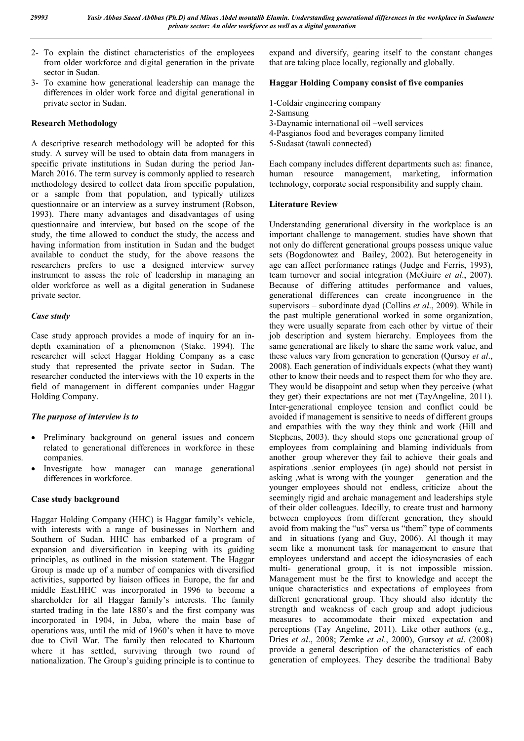- 2- To explain the distinct characteristics of the employees from older workforce and digital generation in the private sector in Sudan.
- 3- To examine how generational leadership can manage the differences in older work force and digital generational in private sector in Sudan.

### **Research Methodology**

A descriptive research methodology will be adopted for this study. A survey will be used to obtain data from managers in specific private institutions in Sudan during the period Jan-March 2016. The term survey is commonly applied to research methodology desired to collect data from specific population, or a sample from that population, and typically utilizes questionnaire or an interview as a survey instrument (Robson, 1993). There many advantages and disadvantages of using questionnaire and interview, but based on the scope of the study, the time allowed to conduct the study, the access and having information from institution in Sudan and the budget available to conduct the study, for the above reasons the researchers prefers to use a designed interview survey instrument to assess the role of leadership in managing an older workforce as well as a digital generation in Sudanese private sector.

### *Case study*

Case study approach provides a mode of inquiry for an indepth examination of a phenomenon (Stake. 1994). The researcher will select Haggar Holding Company as a case study that represented the private sector in Sudan. The researcher conducted the interviews with the 10 experts in the field of management in different companies under Haggar Holding Company.

## *The purpose of interview is to*

- Preliminary background on general issues and concern related to generational differences in workforce in these companies.
- Investigate how manager can manage generational differences in workforce.

## **Case study background**

Haggar Holding Company (HHC) is Haggar family's vehicle, with interests with a range of businesses in Northern and Southern of Sudan. HHC has embarked of a program of expansion and diversification in keeping with its guiding principles, as outlined in the mission statement. The Haggar Group is made up of a number of companies with diversified activities, supported by liaison offices in Europe, the far and middle East.HHC was incorporated in 1996 to become a shareholder for all Haggar family's interests. The family started trading in the late 1880's and the first company was incorporated in 1904, in Juba, where the main base of operations was, until the mid of 1960's when it have to move due to Civil War. The family then relocated to Khartoum where it has settled, surviving through two round of nationalization. The Group's guiding principle is to continue to

expand and diversify, gearing itself to the constant changes that are taking place locally, regionally and globally.

# **Haggar Holding Company consist of five companies**

- 1-Coldair engineering company
- 2-Samsung
- 3-Daynamic international oil –well services
- 4-Pasgianos food and beverages company limited
- 5-Sudasat (tawali connected)

Each company includes different departments such as: finance, human resource management, marketing, information technology, corporate social responsibility and supply chain.

### **Literature Review**

Understanding generational diversity in the workplace is an important challenge to management. studies have shown that not only do different generational groups possess unique value sets (Bogdonowtez and Bailey, 2002). But heterogeneity in age can affect performance ratings (Judge and Ferris, 1993), team turnover and social integration (McGuire *et al*., 2007). Because of differing attitudes performance and values, generational differences can create incongruence in the supervisors – subordinate dyad (Collins *et al*., 2009). While in the past multiple generational worked in some organization, they were usually separate from each other by virtue of their job description and system hierarchy. Employees from the same generational are likely to share the same work value, and these values vary from generation to generation (Qursoy *et al*., 2008). Each generation of individuals expects (what they want) other to know their needs and to respect them for who they are. They would be disappoint and setup when they perceive (what they get) their expectations are not met (TayAngeline, 2011). Inter-generational employee tension and conflict could be avoided if management is sensitive to needs of different groups and empathies with the way they think and work (Hill and Stephens, 2003). they should stops one generational group of employees from complaining and blaming individuals from another group wherever they fail to achieve their goals and aspirations .senior employees (in age) should not persist in asking ,what is wrong with the younger generation and the younger employees should not endless, criticize about the seemingly rigid and archaic management and leaderships style of their older colleagues. Idecilly, to create trust and harmony between employees from different generation, they should avoid from making the "us" versa us "them" type of comments and in situations (yang and Guy, 2006). Al though it may seem like a monument task for management to ensure that employees understand and accept the idiosyncrasies of each multi- generational group, it is not impossible mission. Management must be the first to knowledge and accept the unique characteristics and expectations of employees from different generational group. They should also identity the strength and weakness of each group and adopt judicious measures to accommodate their mixed expectation and perceptions (Tay Angeline, 2011). Like other authors (e.g., Dries *et al*., 2008; Zemke *et al*., 2000), Gursoy *et al*. (2008) provide a general description of the characteristics of each generation of employees. They describe the traditional Baby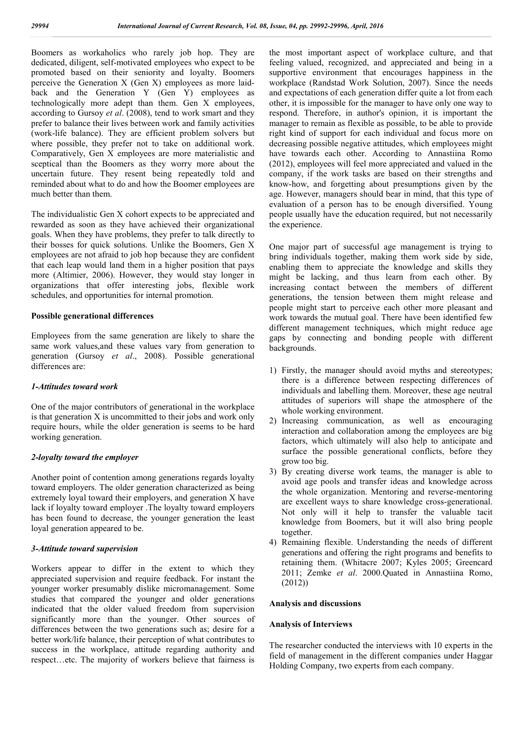Boomers as workaholics who rarely job hop. They are dedicated, diligent, self-motivated employees who expect to be promoted based on their seniority and loyalty. Boomers perceive the Generation X (Gen X) employees as more laidback and the Generation Y (Gen Y) employees as technologically more adept than them. Gen X employees, according to Gursoy *et al*. (2008), tend to work smart and they prefer to balance their lives between work and family activities (work-life balance). They are efficient problem solvers but where possible, they prefer not to take on additional work. Comparatively, Gen X employees are more materialistic and sceptical than the Boomers as they worry more about the uncertain future. They resent being repeatedly told and reminded about what to do and how the Boomer employees are much better than them.

The individualistic Gen X cohort expects to be appreciated and rewarded as soon as they have achieved their organizational goals. When they have problems, they prefer to talk directly to their bosses for quick solutions. Unlike the Boomers, Gen X employees are not afraid to job hop because they are confident that each leap would land them in a higher position that pays more (Altimier, 2006). However, they would stay longer in organizations that offer interesting jobs, flexible work schedules, and opportunities for internal promotion.

#### **Possible generational differences**

Employees from the same generation are likely to share the same work values,and these values vary from generation to generation (Gursoy *et al*., 2008). Possible generational differences are:

### *1-Attitudes toward work*

One of the major contributors of generational in the workplace is that generation X is uncommitted to their jobs and work only require hours, while the older generation is seems to be hard working generation.

### *2-loyalty toward the employer*

Another point of contention among generations regards loyalty toward employers. The older generation characterized as being extremely loyal toward their employers, and generation X have lack if loyalty toward employer .The loyalty toward employers has been found to decrease, the younger generation the least loyal generation appeared to be.

## *3-Attitude toward supervision*

Workers appear to differ in the extent to which they appreciated supervision and require feedback. For instant the younger worker presumably dislike micromanagement. Some studies that compared the younger and older generations indicated that the older valued freedom from supervision significantly more than the younger. Other sources of differences between the two generations such as; desire for a better work/life balance, their perception of what contributes to success in the workplace, attitude regarding authority and respect…etc. The majority of workers believe that fairness is the most important aspect of workplace culture, and that feeling valued, recognized, and appreciated and being in a supportive environment that encourages happiness in the workplace (Randstad Work Solution, 2007). Since the needs and expectations of each generation differ quite a lot from each other, it is impossible for the manager to have only one way to respond. Therefore, in author's opinion, it is important the manager to remain as flexible as possible, to be able to provide right kind of support for each individual and focus more on decreasing possible negative attitudes, which employees might have towards each other. According to Annastiina Romo (2012), employees will feel more appreciated and valued in the company, if the work tasks are based on their strengths and know-how, and forgetting about presumptions given by the age. However, managers should bear in mind, that this type of evaluation of a person has to be enough diversified. Young people usually have the education required, but not necessarily the experience.

One major part of successful age management is trying to bring individuals together, making them work side by side, enabling them to appreciate the knowledge and skills they might be lacking, and thus learn from each other. By increasing contact between the members of different generations, the tension between them might release and people might start to perceive each other more pleasant and work towards the mutual goal. There have been identified few different management techniques, which might reduce age gaps by connecting and bonding people with different backgrounds.

- 1) Firstly, the manager should avoid myths and stereotypes; there is a difference between respecting differences of individuals and labelling them. Moreover, these age neutral attitudes of superiors will shape the atmosphere of the whole working environment.
- 2) Increasing communication, as well as encouraging interaction and collaboration among the employees are big factors, which ultimately will also help to anticipate and surface the possible generational conflicts, before they grow too big.
- 3) By creating diverse work teams, the manager is able to avoid age pools and transfer ideas and knowledge across the whole organization. Mentoring and reverse-mentoring are excellent ways to share knowledge cross-generational. Not only will it help to transfer the valuable tacit knowledge from Boomers, but it will also bring people together.
- 4) Remaining flexible. Understanding the needs of different generations and offering the right programs and benefits to retaining them. (Whitacre 2007; Kyles 2005; Greencard 2011; Zemke *et al*. 2000.Quated in Annastiina Romo, (2012))

### **Analysis and discussions**

#### **Analysis of Interviews**

The researcher conducted the interviews with 10 experts in the field of management in the different companies under Haggar Holding Company, two experts from each company.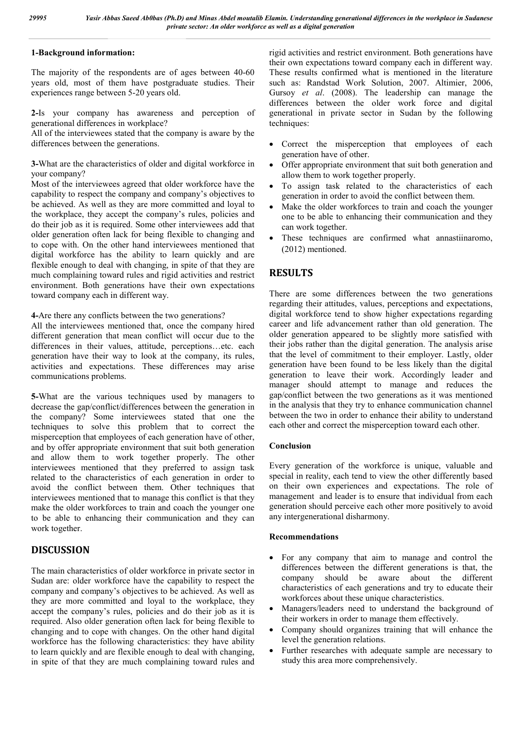## **1-Background information:**

The majority of the respondents are of ages between 40-60 years old, most of them have postgraduate studies. Their experiences range between 5-20 years old.

**2-**Is your company has awareness and perception of generational differences in workplace?

All of the interviewees stated that the company is aware by the differences between the generations.

**3-**What are the characteristics of older and digital workforce in your company?

Most of the interviewees agreed that older workforce have the capability to respect the company and company's objectives to be achieved. As well as they are more committed and loyal to the workplace, they accept the company's rules, policies and do their job as it is required. Some other interviewees add that older generation often lack for being flexible to changing and to cope with. On the other hand interviewees mentioned that digital workforce has the ability to learn quickly and are flexible enough to deal with changing, in spite of that they are much complaining toward rules and rigid activities and restrict environment. Both generations have their own expectations toward company each in different way.

**4-**Are there any conflicts between the two generations?

All the interviewees mentioned that, once the company hired different generation that mean conflict will occur due to the differences in their values, attitude, perceptions…etc. each generation have their way to look at the company, its rules, activities and expectations. These differences may arise communications problems.

**5-**What are the various techniques used by managers to decrease the gap/conflict/differences between the generation in the company? Some interviewees stated that one the techniques to solve this problem that to correct the misperception that employees of each generation have of other, and by offer appropriate environment that suit both generation and allow them to work together properly. The other interviewees mentioned that they preferred to assign task related to the characteristics of each generation in order to avoid the conflict between them. Other techniques that interviewees mentioned that to manage this conflict is that they make the older workforces to train and coach the younger one to be able to enhancing their communication and they can work together.

# **DISCUSSION**

The main characteristics of older workforce in private sector in Sudan are: older workforce have the capability to respect the company and company's objectives to be achieved. As well as they are more committed and loyal to the workplace, they accept the company's rules, policies and do their job as it is required. Also older generation often lack for being flexible to changing and to cope with changes. On the other hand digital workforce has the following characteristics: they have ability to learn quickly and are flexible enough to deal with changing, in spite of that they are much complaining toward rules and

rigid activities and restrict environment. Both generations have their own expectations toward company each in different way. These results confirmed what is mentioned in the literature such as: Randstad Work Solution, 2007. Altimier, 2006, Gursoy *et al*. (2008). The leadership can manage the differences between the older work force and digital generational in private sector in Sudan by the following techniques:

- Correct the misperception that employees of each generation have of other.
- Offer appropriate environment that suit both generation and allow them to work together properly.
- To assign task related to the characteristics of each generation in order to avoid the conflict between them.
- Make the older workforces to train and coach the younger one to be able to enhancing their communication and they can work together.
- These techniques are confirmed what annastiinaromo, (2012) mentioned.

# **RESULTS**

There are some differences between the two generations regarding their attitudes, values, perceptions and expectations, digital workforce tend to show higher expectations regarding career and life advancement rather than old generation. The older generation appeared to be slightly more satisfied with their jobs rather than the digital generation. The analysis arise that the level of commitment to their employer. Lastly, older generation have been found to be less likely than the digital generation to leave their work. Accordingly leader and manager should attempt to manage and reduces the gap/conflict between the two generations as it was mentioned in the analysis that they try to enhance communication channel between the two in order to enhance their ability to understand each other and correct the misperception toward each other.

### **Conclusion**

Every generation of the workforce is unique, valuable and special in reality, each tend to view the other differently based on their own experiences and expectations. The role of management and leader is to ensure that individual from each generation should perceive each other more positively to avoid any intergenerational disharmony.

### **Recommendations**

- For any company that aim to manage and control the differences between the different generations is that, the company should be aware about the different characteristics of each generations and try to educate their workforces about these unique characteristics.
- Managers/leaders need to understand the background of their workers in order to manage them effectively.
- Company should organizes training that will enhance the level the generation relations.
- Further researches with adequate sample are necessary to study this area more comprehensively.